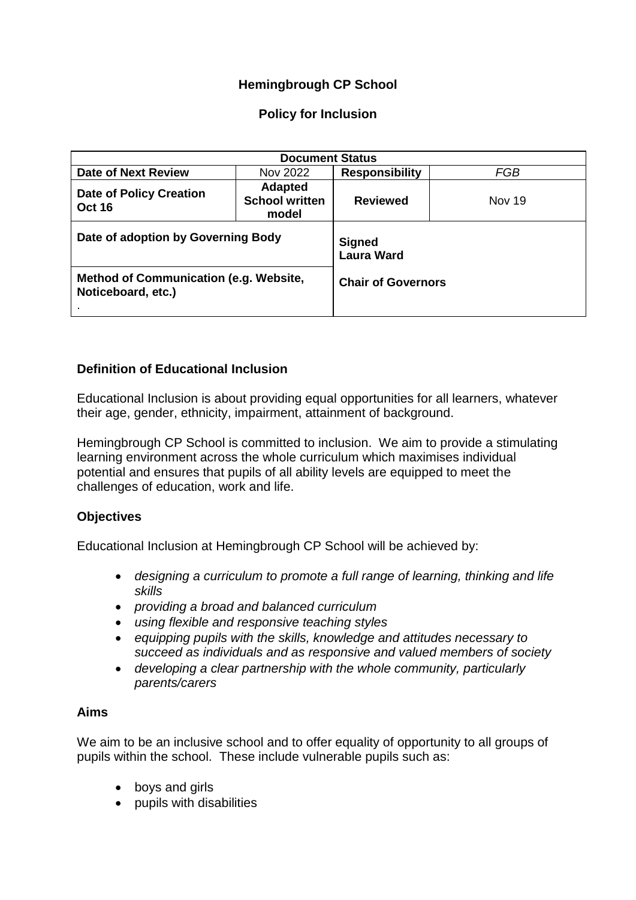# **Hemingbrough CP School**

## **Policy for Inclusion**

| <b>Document Status</b>                                       |                                                  |                                    |        |
|--------------------------------------------------------------|--------------------------------------------------|------------------------------------|--------|
| <b>Date of Next Review</b>                                   | Nov 2022                                         | <b>Responsibility</b>              | FGB    |
| <b>Date of Policy Creation</b><br><b>Oct 16</b>              | <b>Adapted</b><br><b>School written</b><br>model | <b>Reviewed</b>                    | Nov 19 |
| Date of adoption by Governing Body                           |                                                  | <b>Signed</b><br><b>Laura Ward</b> |        |
| Method of Communication (e.g. Website,<br>Noticeboard, etc.) |                                                  | <b>Chair of Governors</b>          |        |

## **Definition of Educational Inclusion**

Educational Inclusion is about providing equal opportunities for all learners, whatever their age, gender, ethnicity, impairment, attainment of background.

Hemingbrough CP School is committed to inclusion. We aim to provide a stimulating learning environment across the whole curriculum which maximises individual potential and ensures that pupils of all ability levels are equipped to meet the challenges of education, work and life.

## **Objectives**

Educational Inclusion at Hemingbrough CP School will be achieved by:

- *designing a curriculum to promote a full range of learning, thinking and life skills*
- *providing a broad and balanced curriculum*
- *using flexible and responsive teaching styles*
- *equipping pupils with the skills, knowledge and attitudes necessary to succeed as individuals and as responsive and valued members of society*
- *developing a clear partnership with the whole community, particularly parents/carers*

### **Aims**

We aim to be an inclusive school and to offer equality of opportunity to all groups of pupils within the school. These include vulnerable pupils such as:

- boys and girls
- pupils with disabilities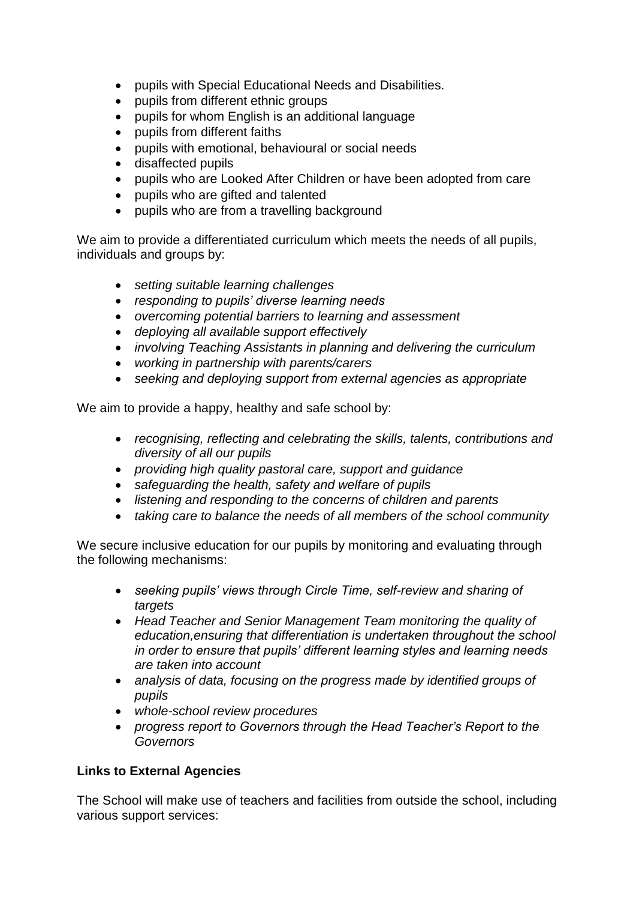- pupils with Special Educational Needs and Disabilities.
- pupils from different ethnic groups
- pupils for whom English is an additional language
- pupils from different faiths
- pupils with emotional, behavioural or social needs
- disaffected pupils
- pupils who are Looked After Children or have been adopted from care
- pupils who are gifted and talented
- pupils who are from a travelling background

We aim to provide a differentiated curriculum which meets the needs of all pupils, individuals and groups by:

- *setting suitable learning challenges*
- *responding to pupils' diverse learning needs*
- *overcoming potential barriers to learning and assessment*
- *deploying all available support effectively*
- *involving Teaching Assistants in planning and delivering the curriculum*
- *working in partnership with parents/carers*
- *seeking and deploying support from external agencies as appropriate*

We aim to provide a happy, healthy and safe school by:

- *recognising, reflecting and celebrating the skills, talents, contributions and diversity of all our pupils*
- *providing high quality pastoral care, support and guidance*
- *safeguarding the health, safety and welfare of pupils*
- *listening and responding to the concerns of children and parents*
- *taking care to balance the needs of all members of the school community*

We secure inclusive education for our pupils by monitoring and evaluating through the following mechanisms:

- *seeking pupils' views through Circle Time, self-review and sharing of targets*
- *Head Teacher and Senior Management Team monitoring the quality of education,ensuring that differentiation is undertaken throughout the school in order to ensure that pupils' different learning styles and learning needs are taken into account*
- *analysis of data, focusing on the progress made by identified groups of pupils*
- *whole-school review procedures*
- *progress report to Governors through the Head Teacher's Report to the Governors*

## **Links to External Agencies**

The School will make use of teachers and facilities from outside the school, including various support services: